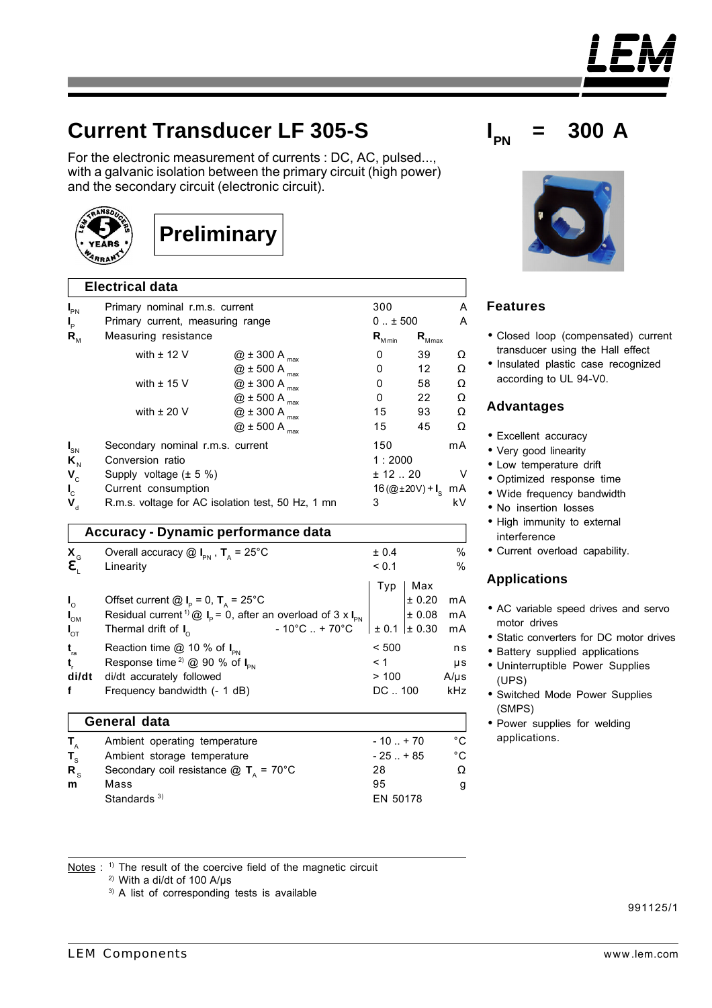For the electronic measurement of currents : DC, AC, pulsed..., with a galvanic isolation between the primary circuit (high power) and the secondary circuit (electronic circuit).



I



|                                             | u ivui uutu                                                                                                                 |                                                   |                         |                                 |                   |
|---------------------------------------------|-----------------------------------------------------------------------------------------------------------------------------|---------------------------------------------------|-------------------------|---------------------------------|-------------------|
| $I_{PN}$                                    | Primary nominal r.m.s. current                                                                                              |                                                   |                         | 300                             |                   |
| $I_{\rm p}$                                 | Primary current, measuring range                                                                                            |                                                   | $0 \pm 500$             |                                 | Α                 |
| $R_{_{\rm M}}$                              | Measuring resistance                                                                                                        |                                                   | $\mathbf{R}_{_{M\min}}$ | $\mathbf{R}_{_{\textrm{Mmax}}}$ |                   |
|                                             | with $\pm$ 12 V                                                                                                             | $@$ ± 300 A $_{max}$                              | 0                       | 39                              | Ω                 |
|                                             |                                                                                                                             | $@$ ± 500 A $_{max}$                              | 0                       | 12                              | Ω                 |
|                                             | with $\pm$ 15 V                                                                                                             | $@$ ± 300 A $_{max}$                              | 0                       | 58                              | Ω                 |
|                                             |                                                                                                                             | $@$ $\pm$ 500 A $_{\rm{max}}$                     | 0                       | 22                              | Ω                 |
|                                             | with $\pm$ 20 V                                                                                                             | $@$ $\pm$ 300 A $_{\rm{max}}$                     | 15                      | 93                              | Ω                 |
|                                             |                                                                                                                             | $@$ ± 500 A $_{max}$                              | 15                      | 45                              | Ω                 |
| $I_{\text{SN}}$                             | Secondary nominal r.m.s. current                                                                                            |                                                   | 150                     |                                 | mA                |
| $\mathsf{K}_{\scriptscriptstyle\mathrm{N}}$ | Conversion ratio                                                                                                            |                                                   | 1:2000                  |                                 |                   |
| $V_c$                                       | Supply voltage $(\pm 5 \%)$                                                                                                 |                                                   | ± 12.20                 |                                 | V                 |
| $I_c$                                       | Current consumption                                                                                                         |                                                   |                         | 16 (@±20V) + $I_s$              | mA                |
| $\mathbf{V}_{\rm d}$                        |                                                                                                                             | R.m.s. voltage for AC isolation test, 50 Hz, 1 mn | 3                       |                                 | kV.               |
|                                             |                                                                                                                             | <b>Accuracy - Dynamic performance data</b>        |                         |                                 |                   |
| $\mathbf{X}_{\mathsf{G}}$                   | Overall accuracy $\textcircled{a}$ $I_{\text{PN}}$ , $T_{\text{A}}$ = 25°C                                                  |                                                   | ± 0.4                   |                                 | $\%$              |
| e,                                          | Linearity                                                                                                                   |                                                   | < 0.1                   |                                 | %                 |
|                                             |                                                                                                                             |                                                   | Typ                     | Max                             |                   |
| $I_{\circ}$                                 | Offset current $\textcircled{a}$ I <sub>P</sub> = 0, T <sub>A</sub> = 25°C                                                  |                                                   |                         | ± 0.20                          | mA                |
| $I_{OM}$                                    | Residual current <sup>1)</sup> $\textcircled{a}$ <b>I</b> <sub>P</sub> = 0, after an overload of 3 x <b>I</b> <sub>PN</sub> |                                                   |                         | ± 0.08                          | mA                |
| $I_{\sigma\tau}$                            | Thermal drift of $I_0$                                                                                                      | $-10^{\circ}$ C  + 70 $^{\circ}$ C                | $\pm 0.1$               | $\pm 0.30$                      | mA                |
| $t_{\rm ra}$                                | Reaction time $@$ 10 % of $I_{\text{in}}$                                                                                   |                                                   | < 500                   |                                 | ns                |
| t,                                          | Response time <sup>2)</sup> @ 90 % of $I_{PN}$                                                                              |                                                   | < 1                     |                                 | μs                |
| di/dt                                       | di/dt accurately followed                                                                                                   |                                                   | >100                    |                                 | $A/\mu s$         |
| f                                           | Frequency bandwidth (- 1 dB)                                                                                                |                                                   | DC  100                 |                                 | kHz               |
|                                             | <b>General data</b>                                                                                                         |                                                   |                         |                                 |                   |
| $T_{A}$                                     | Ambient operating temperature                                                                                               |                                                   | $-10+70$                |                                 | $^{\circ}$ C      |
| $T_{\rm s}$                                 | Ambient storage temperature                                                                                                 |                                                   | $-25. + 85$             |                                 | $^\circ \text{C}$ |
| $R_{s}$                                     | Secondary coil resistance $\textcircled{a}$ T <sub>n</sub> = 70°C                                                           |                                                   | 28                      |                                 | $\Omega$          |
| m                                           | Mass                                                                                                                        |                                                   | 95                      |                                 | g                 |
|                                             | Standards <sup>3)</sup>                                                                                                     |                                                   | EN 50178                |                                 |                   |





# **Features**

- Closed loop (compensated) current transducer using the Hall effect
- Insulated plastic case recognized according to UL 94-V0.

#### **Advantages**

- Excellent accuracy
- Very good linearity
- Low temperature drift
- Optimized response time
- Wide frequency bandwidth
- No insertion losses
- High immunity to external interference
- Current overload capability.

## **Applications**

- AC variable speed drives and servo motor drives
- Static converters for DC motor drives
- Battery supplied applications
- Uninterruptible Power Supplies (UPS)
- Switched Mode Power Supplies (SMPS)
- Power supplies for welding applications.

Notes : <sup>1)</sup> The result of the coercive field of the magnetic circuit

2) With a di/dt of 100 A/µs

3) A list of corresponding tests is available